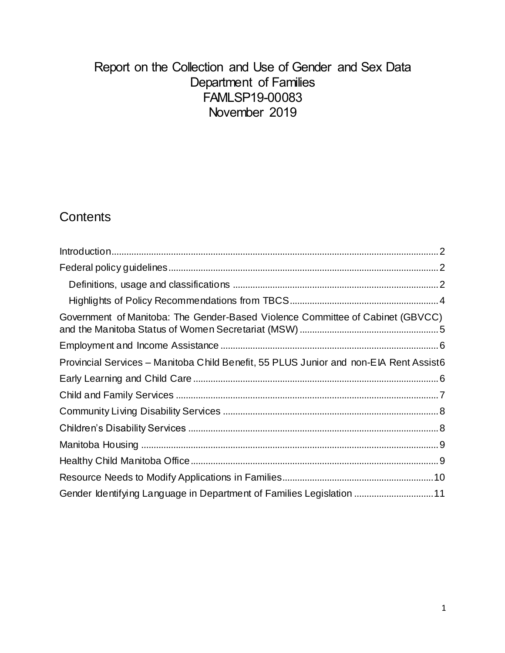# Report on the Collection and Use of Gender and Sex Data Department of Families FAMLSP19-00083 November 2019

# **Contents**

| Government of Manitoba: The Gender-Based Violence Committee of Cabinet (GBVCC)        |  |
|---------------------------------------------------------------------------------------|--|
|                                                                                       |  |
| Provincial Services – Manitoba Child Benefit, 55 PLUS Junior and non-EIA Rent Assist6 |  |
|                                                                                       |  |
|                                                                                       |  |
|                                                                                       |  |
|                                                                                       |  |
|                                                                                       |  |
|                                                                                       |  |
|                                                                                       |  |
| Gender Identifying Language in Department of Families Legislation 11                  |  |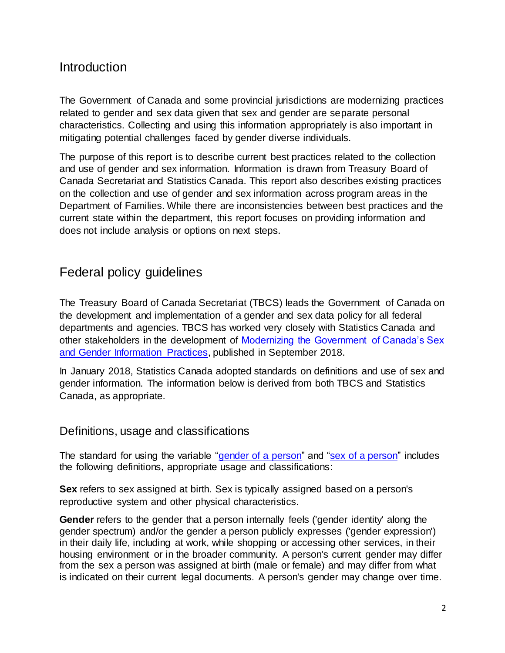# <span id="page-1-0"></span>Introduction

The Government of Canada and some provincial jurisdictions are modernizing practices related to gender and sex data given that sex and gender are separate personal characteristics. Collecting and using this information appropriately is also important in mitigating potential challenges faced by gender diverse individuals.

The purpose of this report is to describe current best practices related to the collection and use of gender and sex information. Information is drawn from Treasury Board of Canada Secretariat and Statistics Canada. This report also describes existing practices on the collection and use of gender and sex information across program areas in the Department of Families. While there are inconsistencies between best practices and the current state within the department, this report focuses on providing information and does not include analysis or options on next steps.

# <span id="page-1-1"></span>Federal policy guidelines

The Treasury Board of Canada Secretariat (TBCS) leads the Government of Canada on the development and implementation of a gender and sex data policy for all federal departments and agencies. TBCS has worked very closely with Statistics Canada and other stakeholders in the development of [Modernizing the Government of Canada's Sex](https://www.canada.ca/en/treasury-board-secretariat/corporate/reports/summary-modernizing-info-sex-gender.html)  [and Gender Information Practices,](https://www.canada.ca/en/treasury-board-secretariat/corporate/reports/summary-modernizing-info-sex-gender.html) published in September 2018.

In January 2018, Statistics Canada adopted standards on definitions and use of sex and gender information. The information below is derived from both TBCS and Statistics Canada, as appropriate.

### <span id="page-1-2"></span>Definitions, usage and classifications

The standard for using the variable ["gender of a person"](http://www23.statcan.gc.ca/imdb/p3Var.pl?Function=DEC&Id=410445) and ["sex of a person"](http://www23.statcan.gc.ca/imdb/p3Var.pl?Function=DECI&Id=467214) includes the following definitions, appropriate usage and classifications:

**Sex** refers to sex assigned at birth. Sex is typically assigned based on a person's reproductive system and other physical characteristics.

**Gender** refers to the gender that a person internally feels ('gender identity' along the gender spectrum) and/or the gender a person publicly expresses ('gender expression') in their daily life, including at work, while shopping or accessing other services, in their housing environment or in the broader community. A person's current gender may differ from the sex a person was assigned at birth (male or female) and may differ from what is indicated on their current legal documents. A person's gender may change over time.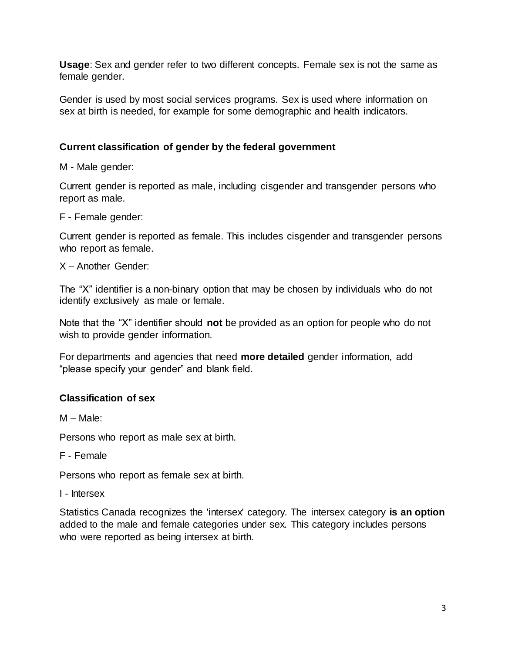**Usage**: Sex and gender refer to two different concepts. Female sex is not the same as female gender.

Gender is used by most social services programs. Sex is used where information on sex at birth is needed, for example for some demographic and health indicators.

### **Current classification of gender by the federal government**

M - Male gender:

Current gender is reported as male, including cisgender and transgender persons who report as male.

F - Female gender:

Current gender is reported as female. This includes cisgender and transgender persons who report as female.

X – Another Gender:

The "X" identifier is a non-binary option that may be chosen by individuals who do not identify exclusively as male or female.

Note that the "X" identifier should **not** be provided as an option for people who do not wish to provide gender information.

For departments and agencies that need **more detailed** gender information, add "please specify your gender" and blank field.

### **Classification of sex**

M – Male:

Persons who report as male sex at birth.

F - Female

Persons who report as female sex at birth.

I - Intersex

Statistics Canada recognizes the 'intersex' category. The intersex category **is an option** added to the male and female categories under sex. This category includes persons who were reported as being intersex at birth.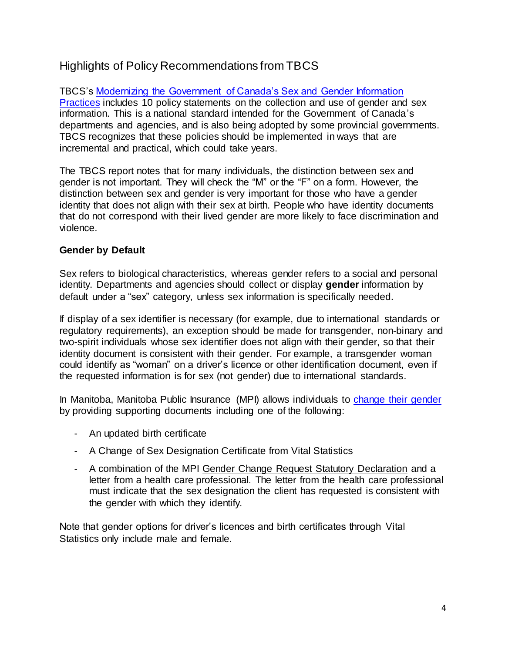# <span id="page-3-0"></span>Highlights of Policy Recommendations from TBCS

TBCS's [Modernizing the Government of Canada's Sex and Gender Information](https://www.canada.ca/en/treasury-board-secretariat/corporate/reports/summary-modernizing-info-sex-gender.html#p-ss3-5)  [Practices](https://www.canada.ca/en/treasury-board-secretariat/corporate/reports/summary-modernizing-info-sex-gender.html#p-ss3-5) includes 10 policy statements on the collection and use of gender and sex information. This is a national standard intended for the Government of Canada's departments and agencies, and is also being adopted by some provincial governments. TBCS recognizes that these policies should be implemented in ways that are incremental and practical, which could take years.

The TBCS report notes that for many individuals, the distinction between sex and gender is not important. They will check the "M" or the "F" on a form. However, the distinction between sex and gender is very important for those who have a gender identity that does not align with their sex at birth. People who have identity documents that do not correspond with their lived gender are more likely to face discrimination and violence.

#### **Gender by Default**

Sex refers to biological characteristics, whereas gender refers to a social and personal identity. Departments and agencies should collect or display **gender** information by default under a "sex" category, unless sex information is specifically needed.

If display of a sex identifier is necessary (for example, due to international standards or regulatory requirements), an exception should be made for transgender, non-binary and two-spirit individuals whose sex identifier does not align with their gender, so that their identity document is consistent with their gender. For example, a transgender woman could identify as "woman" on a driver's licence or other identification document, even if the requested information is for sex (not gender) due to international standards.

In Manitoba, Manitoba Public Insurance (MPI) allows individuals to [change their gender](https://www.mpi.mb.ca/Pages/change-cancel-licence.aspx) by providing supporting documents including one of the following:

- An updated birth certificate
- A Change of Sex Designation Certificate from Vital Statistics
- A combination of the MPI [Gender Change Request Statutory Declaration](https://www.mpi.mb.ca/Documents/GenderChangeDeclarationEnglish.pdf) and a letter from a health care professional. The letter from the health care professional must indicate that the sex designation the client has requested is consistent with the gender with which they identify.

Note that gender options for driver's licences and birth certificates through Vital Statistics only include male and female.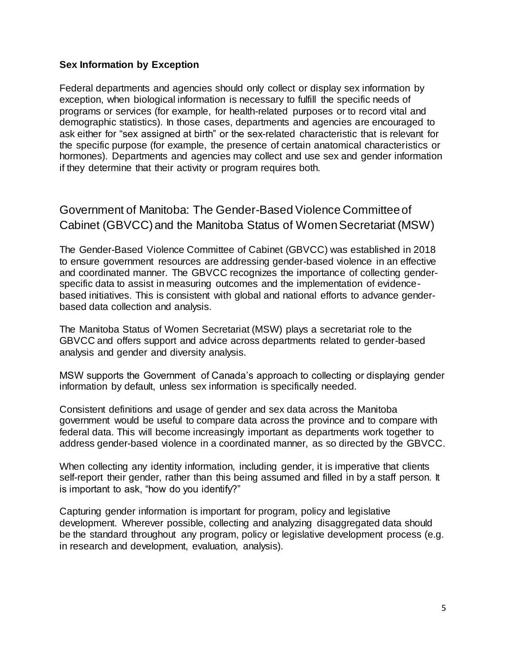#### **Sex Information by Exception**

Federal departments and agencies should only collect or display sex information by exception, when biological information is necessary to fulfill the specific needs of programs or services (for example, for health-related purposes or to record vital and demographic statistics). In those cases, departments and agencies are encouraged to ask either for "sex assigned at birth" or the sex-related characteristic that is relevant for the specific purpose (for example, the presence of certain anatomical characteristics or hormones). Departments and agencies may collect and use sex and gender information if they determine that their activity or program requires both.

# <span id="page-4-0"></span>Government of Manitoba: The Gender-Based Violence Committee of Cabinet (GBVCC) and the Manitoba Status of Women Secretariat (MSW)

The Gender-Based Violence Committee of Cabinet (GBVCC) was established in 2018 to ensure government resources are addressing gender-based violence in an effective and coordinated manner. The GBVCC recognizes the importance of collecting genderspecific data to assist in measuring outcomes and the implementation of evidencebased initiatives. This is consistent with global and national efforts to advance genderbased data collection and analysis.

The Manitoba Status of Women Secretariat (MSW) plays a secretariat role to the GBVCC and offers support and advice across departments related to gender-based analysis and gender and diversity analysis.

MSW supports the Government of Canada's approach to collecting or displaying gender information by default, unless sex information is specifically needed.

Consistent definitions and usage of gender and sex data across the Manitoba government would be useful to compare data across the province and to compare with federal data. This will become increasingly important as departments work together to address gender-based violence in a coordinated manner, as so directed by the GBVCC.

When collecting any identity information, including gender, it is imperative that clients self-report their gender, rather than this being assumed and filled in by a staff person. It is important to ask, "how do you identify?"

Capturing gender information is important for program, policy and legislative development. Wherever possible, collecting and analyzing disaggregated data should be the standard throughout any program, policy or legislative development process (e.g. in research and development, evaluation, analysis).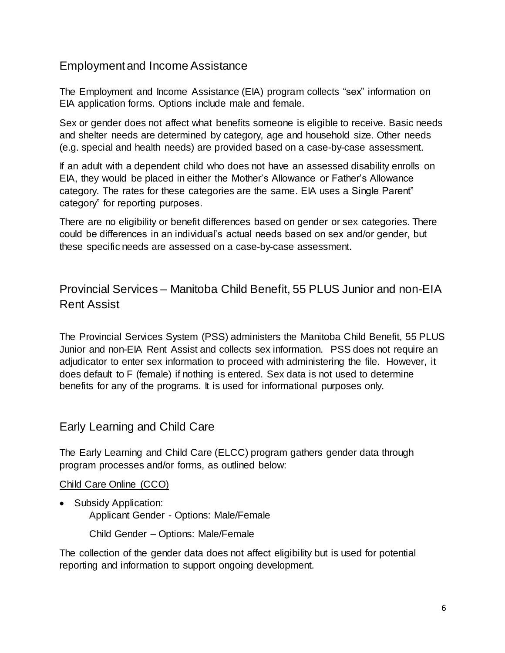### <span id="page-5-0"></span>Employment and Income Assistance

The Employment and Income Assistance (EIA) program collects "sex" information on EIA application forms. Options include male and female.

Sex or gender does not affect what benefits someone is eligible to receive. Basic needs and shelter needs are determined by category, age and household size. Other needs (e.g. special and health needs) are provided based on a case-by-case assessment.

If an adult with a dependent child who does not have an assessed disability enrolls on EIA, they would be placed in either the Mother's Allowance or Father's Allowance category. The rates for these categories are the same. EIA uses a Single Parent" category" for reporting purposes.

There are no eligibility or benefit differences based on gender or sex categories. There could be differences in an individual's actual needs based on sex and/or gender, but these specific needs are assessed on a case-by-case assessment.

<span id="page-5-1"></span>Provincial Services – Manitoba Child Benefit, 55 PLUS Junior and non-EIA Rent Assist

The Provincial Services System (PSS) administers the Manitoba Child Benefit, 55 PLUS Junior and non-EIA Rent Assist and collects sex information. PSS does not require an adjudicator to enter sex information to proceed with administering the file. However, it does default to F (female) if nothing is entered. Sex data is not used to determine benefits for any of the programs. It is used for informational purposes only.

### <span id="page-5-2"></span>Early Learning and Child Care

The Early Learning and Child Care (ELCC) program gathers gender data through program processes and/or forms, as outlined below:

#### Child Care Online (CCO)

• Subsidy Application:

Applicant Gender - Options: Male/Female

Child Gender – Options: Male/Female

The collection of the gender data does not affect eligibility but is used for potential reporting and information to support ongoing development.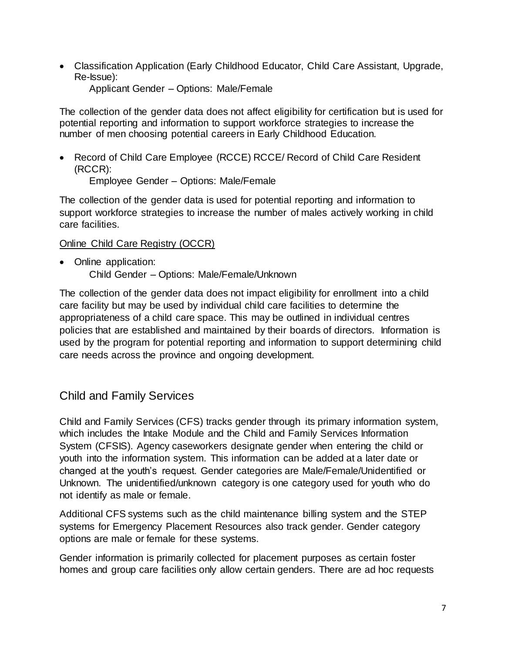Classification Application (Early Childhood Educator, Child Care Assistant, Upgrade, Re-Issue):

Applicant Gender – Options: Male/Female

The collection of the gender data does not affect eligibility for certification but is used for potential reporting and information to support workforce strategies to increase the number of men choosing potential careers in Early Childhood Education.

• Record of Child Care Employee (RCCE) RCCE/ Record of Child Care Resident (RCCR):

Employee Gender – Options: Male/Female

The collection of the gender data is used for potential reporting and information to support workforce strategies to increase the number of males actively working in child care facilities.

#### Online Child Care Registry (OCCR)

• Online application: Child Gender – Options: Male/Female/Unknown

The collection of the gender data does not impact eligibility for enrollment into a child care facility but may be used by individual child care facilities to determine the appropriateness of a child care space. This may be outlined in individual centres policies that are established and maintained by their boards of directors. Information is used by the program for potential reporting and information to support determining child care needs across the province and ongoing development.

## <span id="page-6-0"></span>Child and Family Services

Child and Family Services (CFS) tracks gender through its primary information system, which includes the Intake Module and the Child and Family Services Information System (CFSIS). Agency caseworkers designate gender when entering the child or youth into the information system. This information can be added at a later date or changed at the youth's request. Gender categories are Male/Female/Unidentified or Unknown. The unidentified/unknown category is one category used for youth who do not identify as male or female.

Additional CFS systems such as the child maintenance billing system and the STEP systems for Emergency Placement Resources also track gender. Gender category options are male or female for these systems.

Gender information is primarily collected for placement purposes as certain foster homes and group care facilities only allow certain genders. There are ad hoc requests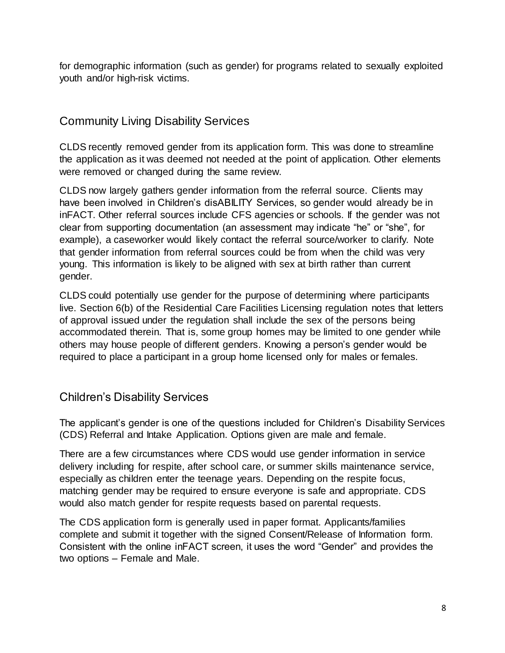for demographic information (such as gender) for programs related to sexually exploited youth and/or high-risk victims.

# <span id="page-7-0"></span>Community Living Disability Services

CLDS recently removed gender from its application form. This was done to streamline the application as it was deemed not needed at the point of application. Other elements were removed or changed during the same review.

CLDS now largely gathers gender information from the referral source. Clients may have been involved in Children's disABILITY Services, so gender would already be in inFACT. Other referral sources include CFS agencies or schools. If the gender was not clear from supporting documentation (an assessment may indicate "he" or "she", for example), a caseworker would likely contact the referral source/worker to clarify. Note that gender information from referral sources could be from when the child was very young. This information is likely to be aligned with sex at birth rather than current gender.

CLDS could potentially use gender for the purpose of determining where participants live. Section 6(b) of the Residential Care Facilities Licensing regulation notes that letters of approval issued under the regulation shall include the sex of the persons being accommodated therein. That is, some group homes may be limited to one gender while others may house people of different genders. Knowing a person's gender would be required to place a participant in a group home licensed only for males or females.

## <span id="page-7-1"></span>Children's Disability Services

The applicant's gender is one of the questions included for Children's Disability Services (CDS) Referral and Intake Application. Options given are male and female.

There are a few circumstances where CDS would use gender information in service delivery including for respite, after school care, or summer skills maintenance service, especially as children enter the teenage years. Depending on the respite focus, matching gender may be required to ensure everyone is safe and appropriate. CDS would also match gender for respite requests based on parental requests.

The CDS application form is generally used in paper format. Applicants/families complete and submit it together with the signed Consent/Release of Information form. Consistent with the online inFACT screen, it uses the word "Gender" and provides the two options – Female and Male.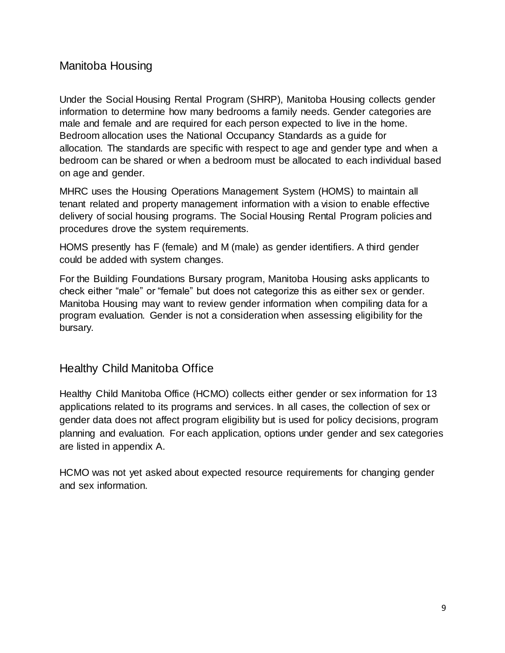## <span id="page-8-0"></span>Manitoba Housing

Under the Social Housing Rental Program (SHRP), Manitoba Housing collects gender information to determine how many bedrooms a family needs. Gender categories are male and female and are required for each person expected to live in the home. Bedroom allocation uses the National Occupancy Standards as a guide for allocation. The standards are specific with respect to age and gender type and when a bedroom can be shared or when a bedroom must be allocated to each individual based on age and gender.

MHRC uses the Housing Operations Management System (HOMS) to maintain all tenant related and property management information with a vision to enable effective delivery of social housing programs. The Social Housing Rental Program policies and procedures drove the system requirements.

HOMS presently has F (female) and M (male) as gender identifiers. A third gender could be added with system changes.

For the Building Foundations Bursary program, Manitoba Housing asks applicants to check either "male" or "female" but does not categorize this as either sex or gender. Manitoba Housing may want to review gender information when compiling data for a program evaluation. Gender is not a consideration when assessing eligibility for the bursary.

### <span id="page-8-1"></span>Healthy Child Manitoba Office

Healthy Child Manitoba Office (HCMO) collects either gender or sex information for 13 applications related to its programs and services. In all cases, the collection of sex or gender data does not affect program eligibility but is used for policy decisions, program planning and evaluation. For each application, options under gender and sex categories are listed in appendix A.

<span id="page-8-2"></span>HCMO was not yet asked about expected resource requirements for changing gender and sex information.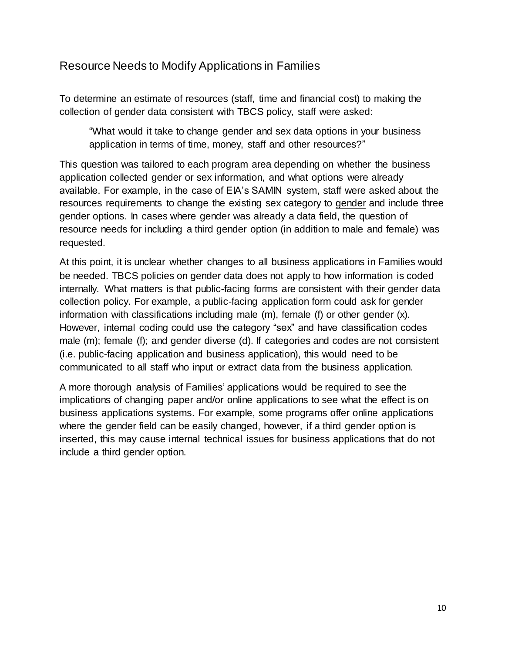## Resource Needs to Modify Applications in Families

To determine an estimate of resources (staff, time and financial cost) to making the collection of gender data consistent with TBCS policy, staff were asked:

"What would it take to change gender and sex data options in your business application in terms of time, money, staff and other resources?"

This question was tailored to each program area depending on whether the business application collected gender or sex information, and what options were already available. For example, in the case of EIA's SAMIN system, staff were asked about the resources requirements to change the existing sex category to gender and include three gender options. In cases where gender was already a data field, the question of resource needs for including a third gender option (in addition to male and female) was requested.

At this point, it is unclear whether changes to all business applications in Families would be needed. TBCS policies on gender data does not apply to how information is coded internally. What matters is that public-facing forms are consistent with their gender data collection policy. For example, a public-facing application form could ask for gender information with classifications including male (m), female (f) or other gender (x). However, internal coding could use the category "sex" and have classification codes male (m); female (f); and gender diverse (d). If categories and codes are not consistent (i.e. public-facing application and business application), this would need to be communicated to all staff who input or extract data from the business application.

<span id="page-9-0"></span>A more thorough analysis of Families' applications would be required to see the implications of changing paper and/or online applications to see what the effect is on business applications systems. For example, some programs offer online applications where the gender field can be easily changed, however, if a third gender option is inserted, this may cause internal technical issues for business applications that do not include a third gender option.